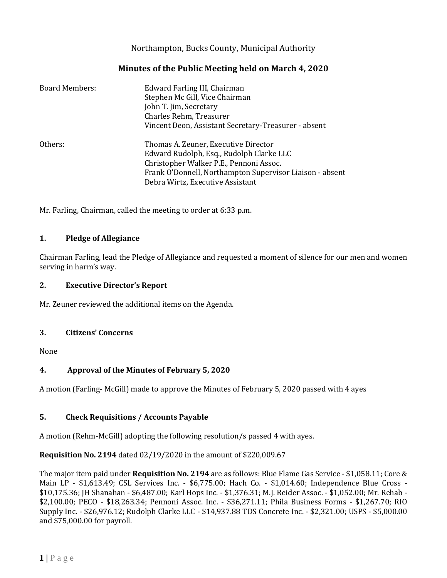Northampton, Bucks County, Municipal Authority

# **Minutes of the Public Meeting held on March 4, 2020**

| <b>Board Members:</b> | Edward Farling III, Chairman<br>Stephen Mc Gill, Vice Chairman<br>John T. Jim, Secretary<br>Charles Rehm, Treasurer<br>Vincent Deon, Assistant Secretary-Treasurer - absent                                                 |
|-----------------------|-----------------------------------------------------------------------------------------------------------------------------------------------------------------------------------------------------------------------------|
| Others:               | Thomas A. Zeuner, Executive Director<br>Edward Rudolph, Esq., Rudolph Clarke LLC<br>Christopher Walker P.E., Pennoni Assoc.<br>Frank O'Donnell, Northampton Supervisor Liaison - absent<br>Debra Wirtz, Executive Assistant |

Mr. Farling, Chairman, called the meeting to order at 6:33 p.m.

#### **1. Pledge of Allegiance**

Chairman Farling, lead the Pledge of Allegiance and requested a moment of silence for our men and women serving in harm's way.

#### **2. Executive Director's Report**

Mr. Zeuner reviewed the additional items on the Agenda.

#### **3. Citizens' Concerns**

None

# **4. Approval of the Minutes of February 5, 2020**

A motion (Farling- McGill) made to approve the Minutes of February 5, 2020 passed with 4 ayes

# **5. Check Requisitions / Accounts Payable**

A motion (Rehm-McGill) adopting the following resolution/s passed 4 with ayes.

# **Requisition No. 2194** dated 02/19/2020 in the amount of \$220,009.67

The major item paid under **Requisition No. 2194** are as follows: Blue Flame Gas Service - \$1,058.11; Core & Main LP - \$1,613.49; CSL Services Inc. - \$6,775.00; Hach Co. - \$1,014.60; Independence Blue Cross - \$10,175.36; JH Shanahan - \$6,487.00; Karl Hops Inc. - \$1,376.31; M.J. Reider Assoc. - \$1,052.00; Mr. Rehab - \$2,100.00; PECO - \$18,263.34; Pennoni Assoc. Inc. - \$36,271.11; Phila Business Forms - \$1,267.70; RIO Supply Inc. - \$26,976.12; Rudolph Clarke LLC - \$14,937.88 TDS Concrete Inc. - \$2,321.00; USPS - \$5,000.00 and \$75,000.00 for payroll.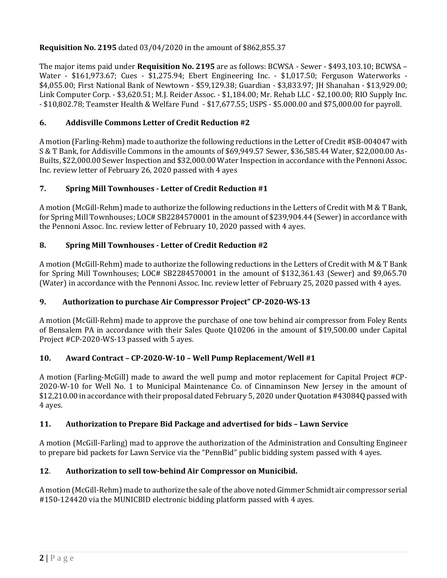# **Requisition No. 2195** dated 03/04/2020 in the amount of \$862,855.37

The major items paid under **Requisition No. 2195** are as follows: BCWSA - Sewer - \$493,103.10; BCWSA – Water - \$161,973.67; Cues - \$1,275.94; Ebert Engineering Inc. - \$1,017.50; Ferguson Waterworks - \$4,055.00; First National Bank of Newtown - \$59,129.38; Guardian - \$3,833.97; JH Shanahan - \$13,929.00; Link Computer Corp. - \$3,620.51; M.J. Reider Assoc. - \$1,184.00; Mr. Rehab LLC - \$2,100.00; RIO Supply Inc. - \$10,802.78; Teamster Health & Welfare Fund - \$17,677.55; USPS - \$5.000.00 and \$75,000.00 for payroll.

# **6. Addisville Commons Letter of Credit Reduction #2**

A motion (Farling-Rehm) made to authorize the following reductions in the Letter of Credit #SB-004047 with S & T Bank, for Addisville Commons in the amounts of \$69,949.57 Sewer, \$36,585.44 Water, \$22,000.00 As-Builts, \$22,000.00 Sewer Inspection and \$32,000.00 Water Inspection in accordance with the Pennoni Assoc. Inc. review letter of February 26, 2020 passed with 4 ayes

# **7. Spring Mill Townhouses - Letter of Credit Reduction #1**

A motion (McGill-Rehm) made to authorize the following reductions in the Letters of Credit with M & T Bank, for Spring Mill Townhouses; LOC# SB2284570001 in the amount of \$239,904.44 (Sewer) in accordance with the Pennoni Assoc. Inc. review letter of February 10, 2020 passed with 4 ayes.

# **8. Spring Mill Townhouses - Letter of Credit Reduction #2**

A motion (McGill-Rehm) made to authorize the following reductions in the Letters of Credit with M & T Bank for Spring Mill Townhouses; LOC# SB2284570001 in the amount of \$132,361.43 (Sewer) and \$9,065.70 (Water) in accordance with the Pennoni Assoc. Inc. review letter of February 25, 2020 passed with 4 ayes.

# **9. Authorization to purchase Air Compressor Project" CP-2020-WS-13**

A motion (McGill-Rehm) made to approve the purchase of one tow behind air compressor from Foley Rents of Bensalem PA in accordance with their Sales Quote Q10206 in the amount of \$19,500.00 under Capital Project #CP-2020-WS-13 passed with 5 ayes.

# **10. Award Contract – CP-2020-W-10 – Well Pump Replacement/Well #1**

A motion (Farling-McGill) made to award the well pump and motor replacement for Capital Project #CP-2020-W-10 for Well No. 1 to Municipal Maintenance Co. of Cinnaminson New Jersey in the amount of \$12,210.00 in accordance with their proposal dated February 5, 2020 under Quotation #43084Q passed with 4 ayes.

# **11. Authorization to Prepare Bid Package and advertised for bids – Lawn Service**

A motion (McGill-Farling) mad to approve the authorization of the Administration and Consulting Engineer to prepare bid packets for Lawn Service via the "PennBid" public bidding system passed with 4 ayes.

# **12**. **Authorization to sell tow-behind Air Compressor on Municibid.**

A motion (McGill-Rehm) made to authorize the sale of the above noted Gimmer Schmidt air compressor serial #150-124420 via the MUNICBID electronic bidding platform passed with 4 ayes.